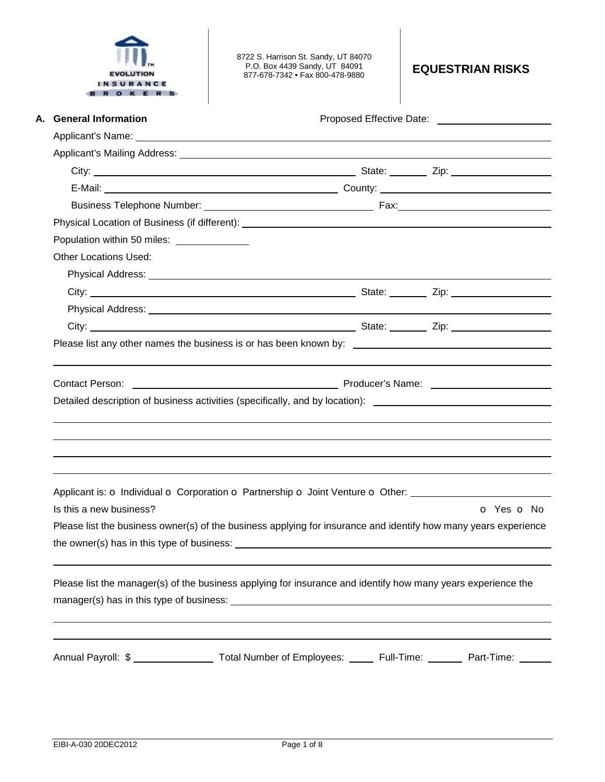|           | <b>EVOLUTION</b> |  |  |
|-----------|------------------|--|--|
| INSURANCE |                  |  |  |
|           |                  |  |  |

8722 S. Harrison St. Sandy, UT 84070 P.O. Box 4439 Sandy, UT 84091 877-678-7342 • Fax 800-478-9880 **EQUESTRIAN RISKS** 

| A. General Information                                                                                                                                                                           | Proposed Effective Date: National Assembly Proposed Effective Date: |
|--------------------------------------------------------------------------------------------------------------------------------------------------------------------------------------------------|---------------------------------------------------------------------|
|                                                                                                                                                                                                  |                                                                     |
|                                                                                                                                                                                                  |                                                                     |
|                                                                                                                                                                                                  |                                                                     |
|                                                                                                                                                                                                  |                                                                     |
|                                                                                                                                                                                                  |                                                                     |
|                                                                                                                                                                                                  |                                                                     |
| Population within 50 miles: <u>_______________</u>                                                                                                                                               |                                                                     |
| <b>Other Locations Used:</b>                                                                                                                                                                     |                                                                     |
|                                                                                                                                                                                                  |                                                                     |
|                                                                                                                                                                                                  |                                                                     |
|                                                                                                                                                                                                  |                                                                     |
|                                                                                                                                                                                                  |                                                                     |
|                                                                                                                                                                                                  |                                                                     |
|                                                                                                                                                                                                  |                                                                     |
|                                                                                                                                                                                                  |                                                                     |
| Producer's Name: <b>Example 2018</b> Producer's Name:<br><b>Contact Person:</b><br>Detailed description of business activities (specifically, and by location): ________________________________ |                                                                     |
|                                                                                                                                                                                                  |                                                                     |
|                                                                                                                                                                                                  |                                                                     |
| Applicant is: o Individual o Corporation o Partnership o Joint Venture o Other: ____________________<br>Is this a new business?                                                                  | O Yes O No                                                          |
| Please list the business owner(s) of the business applying for insurance and identify how many years experience                                                                                  |                                                                     |
| the owner(s) has in this type of business:                                                                                                                                                       |                                                                     |
| Please list the manager(s) of the business applying for insurance and identify how many years experience the                                                                                     |                                                                     |
|                                                                                                                                                                                                  |                                                                     |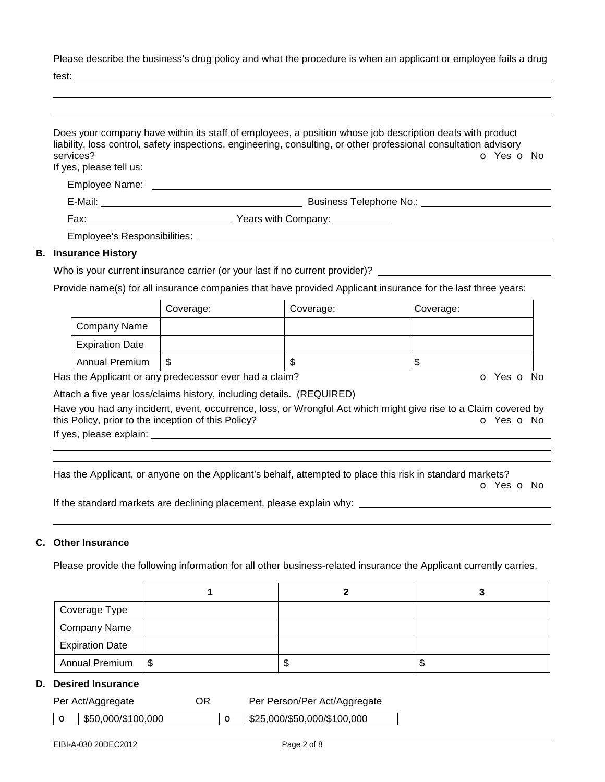Please describe the business's drug policy and what the procedure is when an applicant or employee fails a drug

test:

|                                                                              | Does your company have within its staff of employees, a position whose job description deals with product<br>liability, loss control, safety inspections, engineering, consulting, or other professional consultation advisory |
|------------------------------------------------------------------------------|--------------------------------------------------------------------------------------------------------------------------------------------------------------------------------------------------------------------------------|
| services?<br>If yes, please tell us:                                         | O Yes O No                                                                                                                                                                                                                     |
|                                                                              |                                                                                                                                                                                                                                |
|                                                                              |                                                                                                                                                                                                                                |
|                                                                              |                                                                                                                                                                                                                                |
|                                                                              | Employee's Responsibilities: Weblater and the control of the control of the control of the control of the control of the control of the control of the control of the control of the control of the control of the control of  |
| <b>B.</b> Insurance History                                                  |                                                                                                                                                                                                                                |
| Who is your surrent insurance carrier (or your lost if no surrent provider)? |                                                                                                                                                                                                                                |

## Who is your current insurance carrier (or your last if no current provider)?

Provide name(s) for all insurance companies that have provided Applicant insurance for the last three years:

|                        | Coverage: | Coverage: | Coverage: |
|------------------------|-----------|-----------|-----------|
| Company Name           |           |           |           |
| <b>Expiration Date</b> |           |           |           |
| <b>Annual Premium</b>  | S         | œ<br>۰D   | D         |

Has the Applicant or any predecessor ever had a claim? The Contract of Monocomusic Contract of No. The Contract O

Attach a five year loss/claims history, including details. (REQUIRED)

Have you had any incident, event, occurrence, loss, or Wrongful Act which might give rise to a Claim covered by this Policy, prior to the inception of this Policy? **o Yes o No** Yes **o** No

If yes, please explain:

 

Has the Applicant, or anyone on the Applicant's behalf, attempted to place this risk in standard markets?

o Yes o No

If the standard markets are declining placement, please explain why:

### **C. Other Insurance**

Please provide the following information for all other business-related insurance the Applicant currently carries.

| Coverage Type          |    |    |
|------------------------|----|----|
| Company Name           |    |    |
| <b>Expiration Date</b> |    |    |
| Annual Premium   \$    | ъD | ъD |

### **D. Desired Insurance**

| OR<br>Per Act/Aggregate |                                  | Per Person/Per Act/Aggregate |                             |  |
|-------------------------|----------------------------------|------------------------------|-----------------------------|--|
|                         | $\frac{1}{2}$ \$50,000/\$100,000 |                              | \$25,000/\$50,000/\$100,000 |  |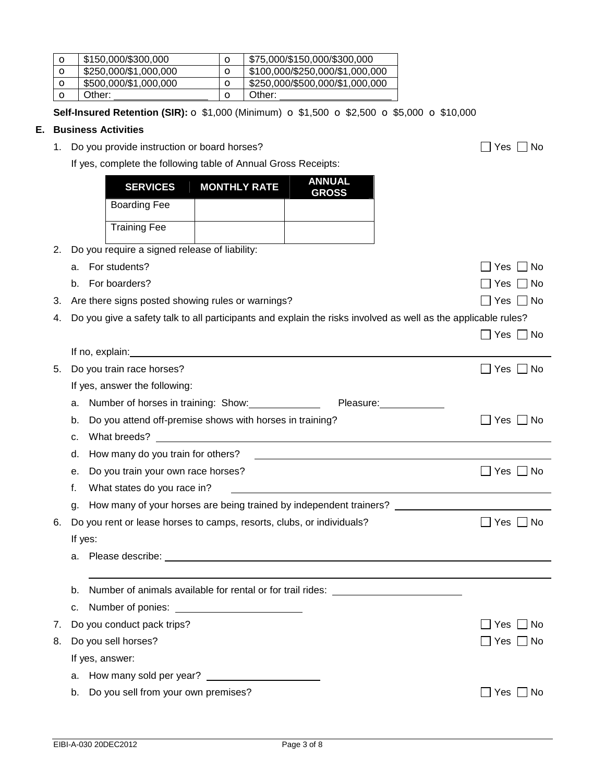| $\mathbf o$ | \$150,000/\$300,000   | \$75,000/\$150,000/\$300,000    |
|-------------|-----------------------|---------------------------------|
|             | \$250,000/\$1,000,000 | \$100,000/\$250,000/\$1,000,000 |
| O           | \$500,000/\$1,000,000 | \$250,000/\$500,000/\$1,000,000 |
|             | Other:                | Other:                          |

**Self-Insured Retention (SIR):** o \$1,000 (Minimum) o \$1,500 o \$2,500 o \$5,000 o \$10,000

### **E. Business Activities**

1. Do you provide instruction or board horses?  $\Box$  Yes  $\Box$  No

If yes, complete the following table of Annual Gross Receipts:

|    | <b>SERVICES</b>                                  | <b>MONTHLY RATE</b> | <b>ANNUAL</b><br><b>GROSS</b> |
|----|--------------------------------------------------|---------------------|-------------------------------|
|    | <b>Boarding Fee</b>                              |                     |                               |
|    | <b>Training Fee</b>                              |                     |                               |
|    | 2. Do you require a signed release of liability: |                     |                               |
| а. | For students?                                    |                     |                               |

b. For boarders?  $\Box$  Yes  $\Box$  No 3. Are there signs posted showing rules or warnings?  $\Box$  Yes  $\Box$  Yes  $\Box$  No 4. Do you give a safety talk to all participants and explain the risks involved as well as the applicable rules?  $\Box$  Yes  $\Box$  No

|    | If no, explain:                                                                                            |                    |
|----|------------------------------------------------------------------------------------------------------------|--------------------|
| 5. | Do you train race horses?                                                                                  | No<br>Yes          |
|    | If yes, answer the following:                                                                              |                    |
|    | Number of horses in training: Show: _______________<br>Pleasure: 2008<br>a.                                |                    |
|    | Do you attend off-premise shows with horses in training?<br>b.                                             | No.<br>Yes         |
|    | c.                                                                                                         |                    |
|    | d.                                                                                                         |                    |
|    | Do you train your own race horses?<br>е.                                                                   | l No<br>Yes II     |
|    | f.<br>What states do you race in?                                                                          |                    |
|    | How many of your horses are being trained by independent trainers? _________________________________<br>g. |                    |
| 6. | Do you rent or lease horses to camps, resorts, clubs, or individuals?                                      | Yes $\Box$ No      |
|    | If yes:                                                                                                    |                    |
|    | a.                                                                                                         |                    |
|    |                                                                                                            |                    |
|    | Number of animals available for rental or for trail rides: _____________________<br>b.                     |                    |
|    |                                                                                                            |                    |
| 7. | Do you conduct pack trips?                                                                                 | . No<br><b>Yes</b> |
| 8. | Do you sell horses?                                                                                        | Yes     No         |
|    | If yes, answer:                                                                                            |                    |
|    |                                                                                                            |                    |
|    | Do you sell from your own premises?<br>b.                                                                  | No.<br>Yes         |
|    |                                                                                                            |                    |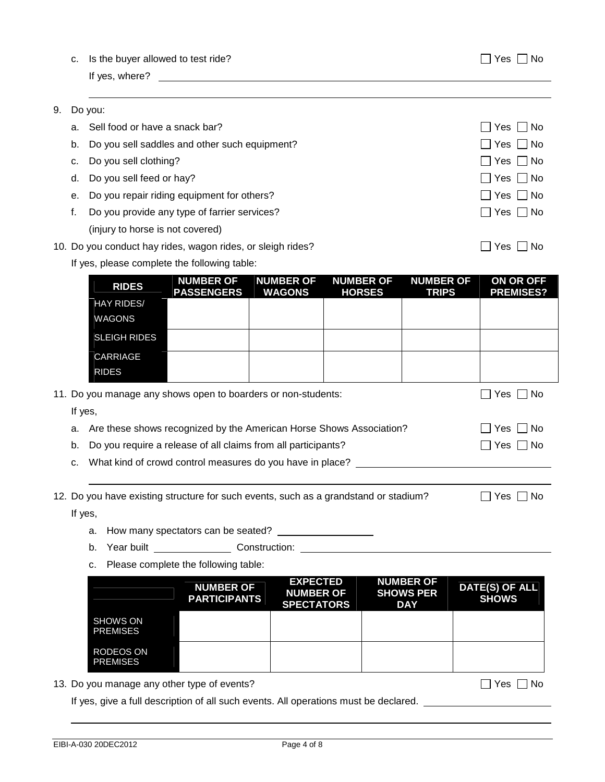|  | c. Is the buyer allowed to test ride? | $\Box$ Yes $\Box$ No |
|--|---------------------------------------|----------------------|
|--|---------------------------------------|----------------------|

If yes, where?

| 9. | Do you: |
|----|---------|
|    |         |

|    | a. Sell food or have a snack bar?             | Yes  No              |
|----|-----------------------------------------------|----------------------|
| b. | Do you sell saddles and other such equipment? | $\Box$ Yes $\Box$ No |
| C. | Do you sell clothing?                         | $\Box$ Yes $\Box$ No |
|    | d. Do you sell feed or hay?                   | $\Box$ Yes $\Box$ No |
| е. | Do you repair riding equipment for others?    | $\Box$ Yes $\Box$ No |
|    | Do you provide any type of farrier services?  | Yes    No            |
|    | (injury to horse is not covered)              |                      |

- 10. Do you conduct hay rides, wagon rides, or sleigh rides?  $\Box$  Yes  $\Box$  No
	- If yes, please complete the following table:

|    | <b>RIDES</b>                                                                         | <b>NUMBER OF</b><br><b>PASSENGERS</b>                                            | <b>NUMBER OF</b><br><b>WAGONS</b> | <b>NUMBER OF</b><br><b>HORSES</b> | <b>NUMBER OF</b><br><b>TRIPS</b> | ON OR OFF<br><b>PREMISES?</b> |
|----|--------------------------------------------------------------------------------------|----------------------------------------------------------------------------------|-----------------------------------|-----------------------------------|----------------------------------|-------------------------------|
|    | <b>HAY RIDES/</b>                                                                    |                                                                                  |                                   |                                   |                                  |                               |
|    | <b>WAGONS</b>                                                                        |                                                                                  |                                   |                                   |                                  |                               |
|    | <b>SLEIGH RIDES</b>                                                                  |                                                                                  |                                   |                                   |                                  |                               |
|    | CARRIAGE                                                                             |                                                                                  |                                   |                                   |                                  |                               |
|    | <b>RIDES</b>                                                                         |                                                                                  |                                   |                                   |                                  |                               |
|    | 11. Do you manage any shows open to boarders or non-students:                        |                                                                                  |                                   |                                   |                                  | Yes $\Box$ No                 |
|    | If yes,                                                                              |                                                                                  |                                   |                                   |                                  |                               |
|    | a. Are these shows recognized by the American Horse Shows Association?               |                                                                                  |                                   |                                   |                                  | $\Box$ Yes $\Box$ No          |
| b. |                                                                                      | Do you require a release of all claims from all participants?                    |                                   |                                   |                                  | $\Box$ Yes $\Box$ No          |
|    | c. What kind of crowd control measures do you have in place?                         |                                                                                  |                                   |                                   |                                  |                               |
|    |                                                                                      |                                                                                  |                                   |                                   |                                  |                               |
|    | 12. Do you have existing structure for such events, such as a grandstand or stadium? |                                                                                  |                                   |                                   |                                  | Yes $\Box$ No<br>$\mathbf{1}$ |
|    | If yes,                                                                              |                                                                                  |                                   |                                   |                                  |                               |
|    |                                                                                      |                                                                                  |                                   |                                   |                                  |                               |
|    |                                                                                      | b. Year built _______________________Construction: _____________________________ |                                   |                                   |                                  |                               |
|    |                                                                                      | c. Please complete the following table:                                          |                                   |                                   |                                  |                               |

|                                     | <b>NUMBER OF</b><br><b>PARTICIPANTS</b> | <b>EXPECTED</b><br><b>NUMBER OF</b><br><b>SPECTATORS</b> | <b>NUMBER OF</b><br><b>SHOWS PER</b><br><b>DAY</b> | DATE(S) OF ALL<br><b>SHOWS</b> |
|-------------------------------------|-----------------------------------------|----------------------------------------------------------|----------------------------------------------------|--------------------------------|
| <b>SHOWS ON</b><br><b>PREMISES</b>  |                                         |                                                          |                                                    |                                |
| <b>RODEOS ON</b><br><b>PREMISES</b> |                                         |                                                          |                                                    |                                |

13. Do you manage any other type of events?  $\Box$  Yes  $\Box$  No

If yes, give a full description of all such events. All operations must be declared.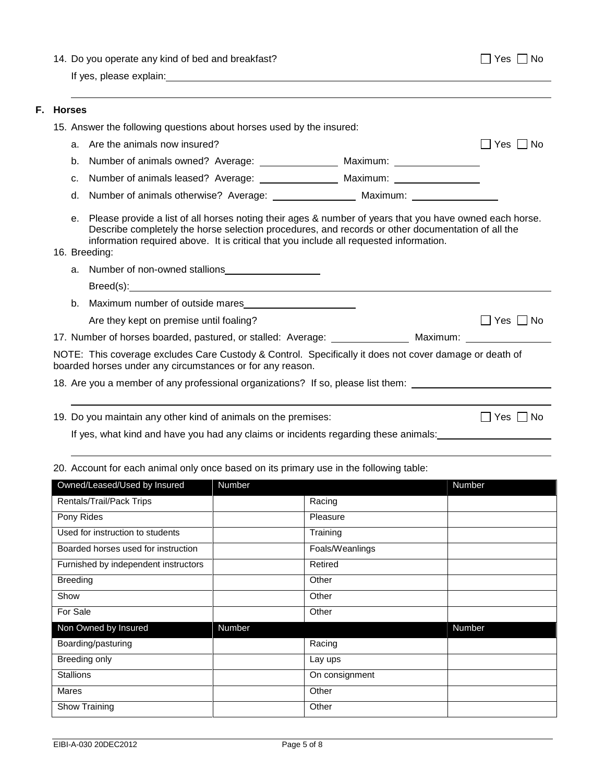|  |  |  |  |  |  |  |  |  | 14. Do you operate any kind of bed and breakfast? |  |
|--|--|--|--|--|--|--|--|--|---------------------------------------------------|--|
|--|--|--|--|--|--|--|--|--|---------------------------------------------------|--|

 $\Box$  Yes  $\Box$  No

If yes, please explain:

#### **F. Horses**

|                | 15. Answer the following questions about horses used by the insured:                                                                                                                                                                                                                                                       |            |  |  |  |
|----------------|----------------------------------------------------------------------------------------------------------------------------------------------------------------------------------------------------------------------------------------------------------------------------------------------------------------------------|------------|--|--|--|
|                | a. Are the animals now insured?                                                                                                                                                                                                                                                                                            | Yes I I No |  |  |  |
| b.             | Number of animals owned? Average: _________________ Maximum: ___________________                                                                                                                                                                                                                                           |            |  |  |  |
| C <sub>1</sub> |                                                                                                                                                                                                                                                                                                                            |            |  |  |  |
| d.             |                                                                                                                                                                                                                                                                                                                            |            |  |  |  |
|                | e. Please provide a list of all horses noting their ages & number of years that you have owned each horse.<br>Describe completely the horse selection procedures, and records or other documentation of all the<br>information required above. It is critical that you include all requested information.<br>16. Breeding: |            |  |  |  |
|                | a. Number of non-owned stallions                                                                                                                                                                                                                                                                                           |            |  |  |  |
|                | Breed(s): Note and the set of the set of the set of the set of the set of the set of the set of the set of the set of the set of the set of the set of the set of the set of the set of the set of the set of the set of the s                                                                                             |            |  |  |  |
|                | b. Maximum number of outside mares                                                                                                                                                                                                                                                                                         |            |  |  |  |
|                | Are they kept on premise until foaling?                                                                                                                                                                                                                                                                                    | Yes  No    |  |  |  |
|                | 17. Number of horses boarded, pastured, or stalled: Average: _________________ Maximum: ___________                                                                                                                                                                                                                        |            |  |  |  |
|                | NOTE: This coverage excludes Care Custody & Control. Specifically it does not cover damage or death of<br>boarded horses under any circumstances or for any reason.                                                                                                                                                        |            |  |  |  |
|                | 18. Are you a member of any professional organizations? If so, please list them:                                                                                                                                                                                                                                           |            |  |  |  |
|                |                                                                                                                                                                                                                                                                                                                            |            |  |  |  |
|                |                                                                                                                                                                                                                                                                                                                            |            |  |  |  |

19. Do you maintain any other kind of animals on the premises:  $\Box$  Yes  $\Box$  No

If yes, what kind and have you had any claims or incidents regarding these animals:

## 20. Account for each animal only once based on its primary use in the following table:

| Owned/Leased/Used by Insured         | Number |                 | Number |
|--------------------------------------|--------|-----------------|--------|
| Rentals/Trail/Pack Trips             |        | Racing          |        |
| Pony Rides                           |        | Pleasure        |        |
| Used for instruction to students     |        | Training        |        |
| Boarded horses used for instruction  |        | Foals/Weanlings |        |
| Furnished by independent instructors |        | Retired         |        |
| <b>Breeding</b>                      |        | Other           |        |
| Show                                 |        | Other           |        |
| For Sale                             |        | Other           |        |
| Non Owned by Insured                 | Number |                 | Number |
| Boarding/pasturing                   |        | Racing          |        |
| Breeding only                        |        | Lay ups         |        |
| <b>Stallions</b>                     |        | On consignment  |        |
| <b>Mares</b>                         |        | Other           |        |
| Show Training                        |        | Other           |        |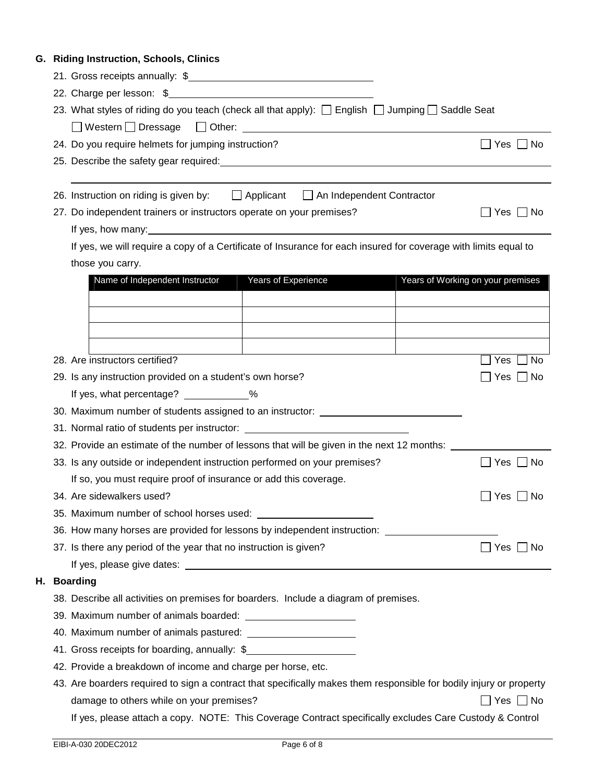# **G. Riding Instruction, Schools, Clinics**

|                                                                                                                     | 23. What styles of riding do you teach (check all that apply): □ English □ Jumping □ Saddle Seat |  |  |  |  |
|---------------------------------------------------------------------------------------------------------------------|--------------------------------------------------------------------------------------------------|--|--|--|--|
|                                                                                                                     |                                                                                                  |  |  |  |  |
| 24. Do you require helmets for jumping instruction?                                                                 | Yes $\Box$ No                                                                                    |  |  |  |  |
| 25. Describe the safety gear required: example and a set of the same state of the safety gear and a set of the      |                                                                                                  |  |  |  |  |
|                                                                                                                     |                                                                                                  |  |  |  |  |
| 26. Instruction on riding is given by: $\Box$ Applicant $\Box$ An Independent Contractor                            |                                                                                                  |  |  |  |  |
| 27. Do independent trainers or instructors operate on your premises?                                                | $\Box$ Yes $\Box$ No                                                                             |  |  |  |  |
| If yes, how many: example and the state of year and year of year.                                                   |                                                                                                  |  |  |  |  |
| If yes, we will require a copy of a Certificate of Insurance for each insured for coverage with limits equal to     |                                                                                                  |  |  |  |  |
| those you carry.                                                                                                    |                                                                                                  |  |  |  |  |
| Years of Experience<br>Name of Independent Instructor                                                               | Years of Working on your premises                                                                |  |  |  |  |
|                                                                                                                     |                                                                                                  |  |  |  |  |
|                                                                                                                     |                                                                                                  |  |  |  |  |
|                                                                                                                     |                                                                                                  |  |  |  |  |
|                                                                                                                     |                                                                                                  |  |  |  |  |
| 28. Are instructors certified?                                                                                      | l No<br>Yes                                                                                      |  |  |  |  |
| 29. Is any instruction provided on a student's own horse?                                                           | ∣ No<br>Yes                                                                                      |  |  |  |  |
| If yes, what percentage? ____________%                                                                              |                                                                                                  |  |  |  |  |
| 30. Maximum number of students assigned to an instructor: ______________________                                    |                                                                                                  |  |  |  |  |
| 31. Normal ratio of students per instructor: ___________________________________                                    |                                                                                                  |  |  |  |  |
| 32. Provide an estimate of the number of lessons that will be given in the next 12 months: ____                     |                                                                                                  |  |  |  |  |
| 33. Is any outside or independent instruction performed on your premises?                                           | $\Box$ Yes $\Box$ No                                                                             |  |  |  |  |
| If so, you must require proof of insurance or add this coverage.                                                    |                                                                                                  |  |  |  |  |
| 34. Are sidewalkers used?<br>Yes<br>No                                                                              |                                                                                                  |  |  |  |  |
| 35. Maximum number of school horses used:                                                                           |                                                                                                  |  |  |  |  |
|                                                                                                                     | 36. How many horses are provided for lessons by independent instruction: ______________          |  |  |  |  |
| 37. Is there any period of the year that no instruction is given?                                                   | $\Box$ Yes $\Box$<br>∣ ∣No                                                                       |  |  |  |  |
|                                                                                                                     |                                                                                                  |  |  |  |  |
| <b>Boarding</b>                                                                                                     |                                                                                                  |  |  |  |  |
| 38. Describe all activities on premises for boarders. Include a diagram of premises.                                |                                                                                                  |  |  |  |  |
|                                                                                                                     |                                                                                                  |  |  |  |  |
|                                                                                                                     |                                                                                                  |  |  |  |  |
| 41. Gross receipts for boarding, annually: \$                                                                       |                                                                                                  |  |  |  |  |
| 42. Provide a breakdown of income and charge per horse, etc.                                                        |                                                                                                  |  |  |  |  |
| 43. Are boarders required to sign a contract that specifically makes them responsible for bodily injury or property |                                                                                                  |  |  |  |  |
| damage to others while on your premises?                                                                            | $\Box$ Yes $\Box$ No                                                                             |  |  |  |  |
| If yes, please attach a copy. NOTE: This Coverage Contract specifically excludes Care Custody & Control             |                                                                                                  |  |  |  |  |

**H. Boarding**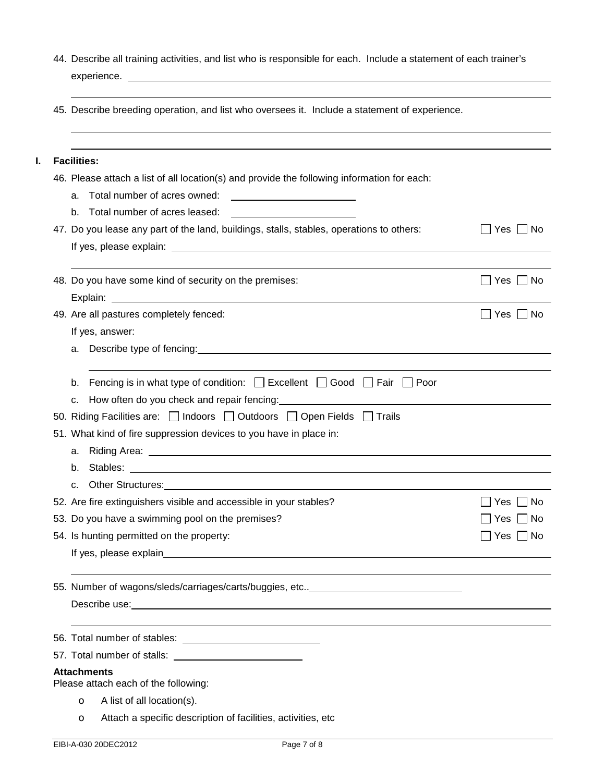|             | 44. Describe all training activities, and list who is responsible for each. Include a statement of each trainer's |
|-------------|-------------------------------------------------------------------------------------------------------------------|
| experience. |                                                                                                                   |

45. Describe breeding operation, and list who oversees it. Include a statement of experience.

| <b>Facilities:</b>                                                                                                                                                                                                                        |                               |
|-------------------------------------------------------------------------------------------------------------------------------------------------------------------------------------------------------------------------------------------|-------------------------------|
| 46. Please attach a list of all location(s) and provide the following information for each:                                                                                                                                               |                               |
| a.                                                                                                                                                                                                                                        |                               |
| Total number of acres leased:<br>b.                                                                                                                                                                                                       |                               |
| 47. Do you lease any part of the land, buildings, stalls, stables, operations to others:                                                                                                                                                  | Yes  <br>– I No               |
|                                                                                                                                                                                                                                           |                               |
| 48. Do you have some kind of security on the premises:                                                                                                                                                                                    | $\Box$ Yes $\Box$ No          |
|                                                                                                                                                                                                                                           |                               |
| 49. Are all pastures completely fenced:                                                                                                                                                                                                   | Yes $\Box$ No<br>$\mathbf{1}$ |
| If yes, answer:                                                                                                                                                                                                                           |                               |
| a. Describe type of fencing: example and the state of the state of the state of the state of the state of the state of the state of the state of the state of the state of the state of the state of the state of the state of            |                               |
| Fencing is in what type of condition: $\Box$ Excellent $\Box$ Good $\Box$ Fair $\Box$ Poor<br>b.                                                                                                                                          |                               |
| How often do you check and repair fencing: 1990 1991 1992<br>C.                                                                                                                                                                           |                               |
| 50. Riding Facilities are: $\Box$ Indoors $\Box$ Outdoors $\Box$ Open Fields $\Box$ Trails                                                                                                                                                |                               |
| 51. What kind of fire suppression devices to you have in place in:                                                                                                                                                                        |                               |
| а.                                                                                                                                                                                                                                        |                               |
| b.                                                                                                                                                                                                                                        |                               |
| Other Structures: <u>contract and a series of the structure</u> of the structure of the structure of the structure of the structure of the structure of the structure of the structure of the structure of the structure of the str<br>c. |                               |
| 52. Are fire extinguishers visible and accessible in your stables?                                                                                                                                                                        | l No<br>Yes                   |
| 53. Do you have a swimming pool on the premises?                                                                                                                                                                                          | l No<br>Yes                   |
| 54. Is hunting permitted on the property:                                                                                                                                                                                                 | Yes $\Box$ No                 |
|                                                                                                                                                                                                                                           |                               |
| 55. Number of wagons/sleds/carriages/carts/buggies, etc ______________________                                                                                                                                                            |                               |
| Describe use: <u>contract and a set of the set of the set of the set of the set of the set of the set of the set of the set of the set of the set of the set of the set of the set of the set of the set of the set of the set o</u>      |                               |
|                                                                                                                                                                                                                                           |                               |
|                                                                                                                                                                                                                                           |                               |
| <b>Attachments</b><br>Please attach each of the following:                                                                                                                                                                                |                               |
| A list of all location(s).<br>$\circ$                                                                                                                                                                                                     |                               |
| Attach a specific description of facilities, activities, etc                                                                                                                                                                              |                               |